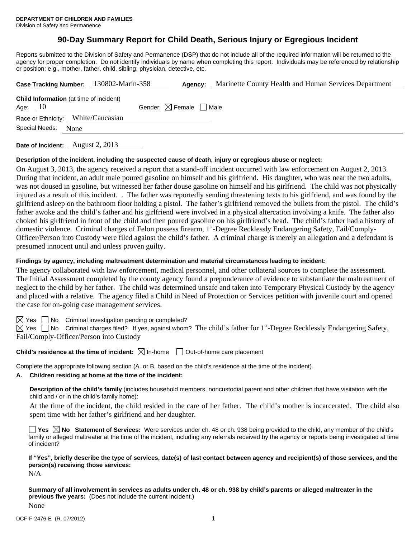# **90-Day Summary Report for Child Death, Serious Injury or Egregious Incident**

Reports submitted to the Division of Safety and Permanence (DSP) that do not include all of the required information will be returned to the agency for proper completion. Do not identify individuals by name when completing this report. Individuals may be referenced by relationship or position; e.g., mother, father, child, sibling, physician, detective, etc.

| Case Tracking Number: 130802-Marin-358                      | Agency:                                | Marinette County Health and Human Services Department |
|-------------------------------------------------------------|----------------------------------------|-------------------------------------------------------|
| <b>Child Information</b> (at time of incident)<br>Age: $10$ | Gender: $\boxtimes$ Female $\Box$ Male |                                                       |
| Race or Ethnicity: White/Caucasian                          |                                        |                                                       |
| Special Needs:<br>None                                      |                                        |                                                       |
|                                                             |                                        |                                                       |

**Date of Incident:** August 2, 2013

# **Description of the incident, including the suspected cause of death, injury or egregious abuse or neglect:**

On August 3, 2013, the agency received a report that a stand-off incident occurred with law enforcement on August 2, 2013. During that incident, an adult male poured gasoline on himself and his girlfriend. His daughter, who was near the two adults, was not doused in gasoline, but witnessed her father douse gasoline on himself and his girlfriend. The child was not physically injured as a result of this incident. . The father was reportedly sending threatening texts to his girlfriend, and was found by the girlfriend asleep on the bathroom floor holding a pistol. The father's girlfriend removed the bullets from the pistol. The child's father awoke and the child's father and his girlfriend were involved in a physical altercation involving a knife. The father also choked his girlfriend in front of the child and then poured gasoline on his girlfriend's head. The child's father had a history of domestic violence. Criminal charges of Felon possess firearm, 1st-Degree Recklessly Endangering Safety, Fail/Comply-Officer/Person into Custody were filed against the child's father. A criminal charge is merely an allegation and a defendant is presumed innocent until and unless proven guilty.

#### **Findings by agency, including maltreatment determination and material circumstances leading to incident:**

The agency collaborated with law enforcement, medical personnel, and other collateral sources to complete the assessment. The Initial Assessment completed by the county agency found a preponderance of evidence to substantiate the maltreatment of neglect to the child by her father. The child was determined unsafe and taken into Temporary Physical Custody by the agency and placed with a relative. The agency filed a Child in Need of Protection or Services petition with juvenile court and opened the case for on-going case management services.

 $\boxtimes$  Yes  $\Box$  No Criminal investigation pending or completed?

 $\boxtimes$  Yes  $\Box$  No Criminal charges filed? If yes, against whom? The child's father for 1<sup>st</sup>-Degree Recklessly Endangering Safety, Fail/Comply-Officer/Person into Custody

# **Child's residence at the time of incident:**  $\boxtimes$  In-home  $\Box$  Out-of-home care placement

Complete the appropriate following section (A. or B. based on the child's residence at the time of the incident).

# **A. Children residing at home at the time of the incident:**

**Description of the child's family** (includes household members, noncustodial parent and other children that have visitation with the child and / or in the child's family home):

 At the time of the incident, the child resided in the care of her father. The child's mother is incarcerated. The child also spent time with her father's girlfriend and her daughter.

■ Yes **No** Statement of Services: Were services under ch. 48 or ch. 938 being provided to the child, any member of the child's family or alleged maltreater at the time of the incident, including any referrals received by the agency or reports being investigated at time of incident?

**If "Yes", briefly describe the type of services, date(s) of last contact between agency and recipient(s) of those services, and the person(s) receiving those services:** 

N/A

**Summary of all involvement in services as adults under ch. 48 or ch. 938 by child's parents or alleged maltreater in the previous five years:** (Does not include the current incident.) None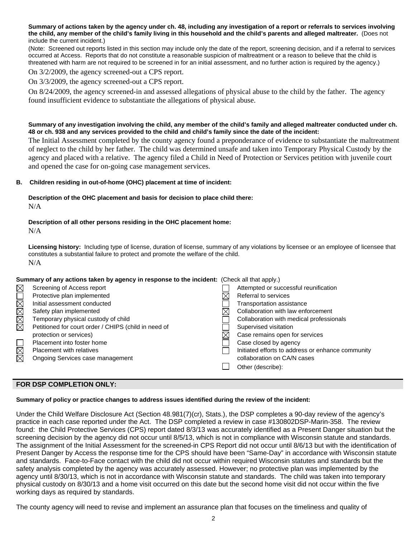**Summary of actions taken by the agency under ch. 48, including any investigation of a report or referrals to services involving the child, any member of the child's family living in this household and the child's parents and alleged maltreater.** (Does not include the current incident.)

(Note: Screened out reports listed in this section may include only the date of the report, screening decision, and if a referral to services occurred at Access. Reports that do not constitute a reasonable suspicion of maltreatment or a reason to believe that the child is threatened with harm are not required to be screened in for an initial assessment, and no further action is required by the agency.)

### On 3/2/2009, the agency screened-out a CPS report.

On 3/3/2009, the agency screened-out a CPS report.

On 8/24/2009, the agency screened-in and assessed allegations of physical abuse to the child by the father. The agency found insufficient evidence to substantiate the allegations of physical abuse.

#### **Summary of any investigation involving the child, any member of the child's family and alleged maltreater conducted under ch. 48 or ch. 938 and any services provided to the child and child's family since the date of the incident:**

The Initial Assessment completed by the county agency found a preponderance of evidence to substantiate the maltreatment of neglect to the child by her father. The child was determined unsafe and taken into Temporary Physical Custody by the agency and placed with a relative. The agency filed a Child in Need of Protection or Services petition with juvenile court and opened the case for on-going case management services.

#### **B. Children residing in out-of-home (OHC) placement at time of incident:**

#### **Description of the OHC placement and basis for decision to place child there:** N/A

### **Description of all other persons residing in the OHC placement home:** N/A

**Licensing history:** Including type of license, duration of license, summary of any violations by licensee or an employee of licensee that constitutes a substantial failure to protect and promote the welfare of the child. N/A

# **Summary of any actions taken by agency in response to the incident:** (Check all that apply.)

|             | Screening of Access report                           | Attempted or successful reunification             |
|-------------|------------------------------------------------------|---------------------------------------------------|
| XXXXXOX     | Protective plan implemented                          | Referral to services                              |
|             | Initial assessment conducted                         | <b>Transportation assistance</b>                  |
|             | Safety plan implemented                              | Collaboration with law enforcement                |
|             | Temporary physical custody of child                  | Collaboration with medical professionals          |
|             | Petitioned for court order / CHIPS (child in need of | Supervised visitation                             |
|             | protection or services)                              | Case remains open for services                    |
|             | Placement into foster home                           | Case closed by agency                             |
| $\boxtimes$ | <b>Placement with relatives</b>                      | Initiated efforts to address or enhance community |
|             | Ongoing Services case management                     | collaboration on CA/N cases                       |
|             |                                                      | Other (describe):                                 |
|             |                                                      |                                                   |

# **FOR DSP COMPLETION ONLY:**

# **Summary of policy or practice changes to address issues identified during the review of the incident:**

Under the Child Welfare Disclosure Act (Section 48.981(7)(cr), Stats.), the DSP completes a 90-day review of the agency's practice in each case reported under the Act. The DSP completed a review in case #130802DSP-Marin-358. The review found: the Child Protective Services (CPS) report dated 8/3/13 was accurately identified as a Present Danger situation but the screening decision by the agency did not occur until 8/5/13, which is not in compliance with Wisconsin statute and standards. The assignment of the Initial Assessment for the screened-in CPS Report did not occur until 8/6/13 but with the identification of Present Danger by Access the response time for the CPS should have been "Same-Day" in accordance with Wisconsin statute and standards. Face-to-Face contact with the child did not occur within required Wisconsin statutes and standards but the safety analysis completed by the agency was accurately assessed. However; no protective plan was implemented by the agency until 8/30/13, which is not in accordance with Wisconsin statute and standards. The child was taken into temporary physical custody on 8/30/13 and a home visit occurred on this date but the second home visit did not occur within the five working days as required by standards.

The county agency will need to revise and implement an assurance plan that focuses on the timeliness and quality of